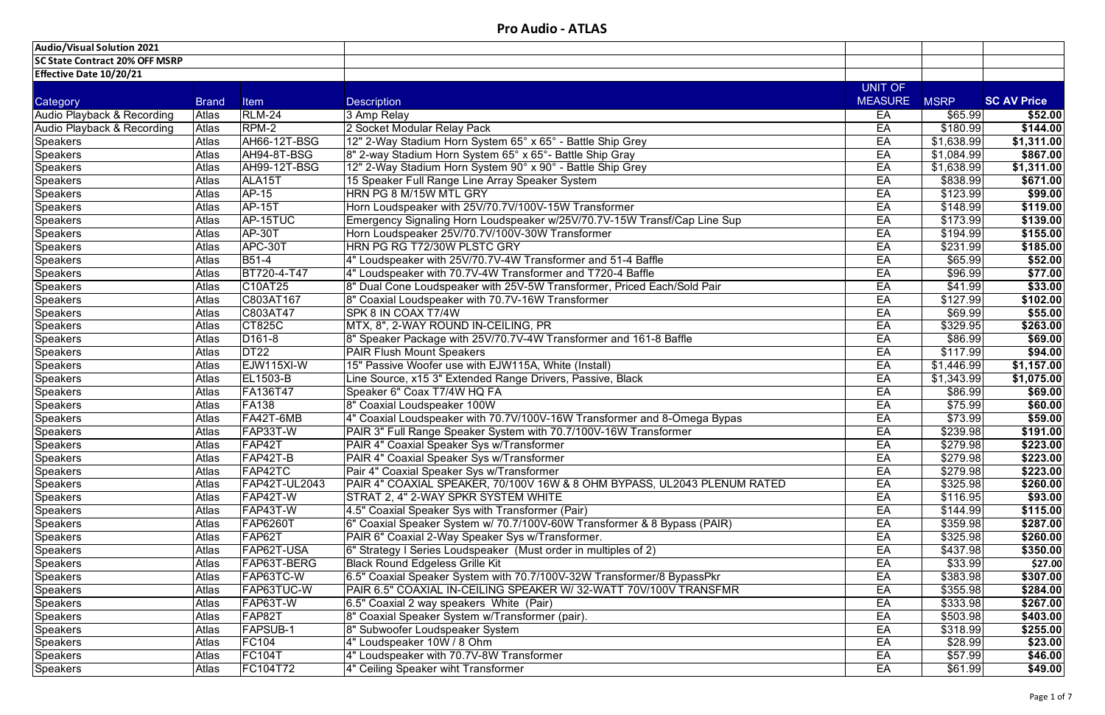| <b>Audio/Visual Solution 2021</b>     |              |                                  |                                                                          |                |             |                    |
|---------------------------------------|--------------|----------------------------------|--------------------------------------------------------------------------|----------------|-------------|--------------------|
| <b>SC State Contract 20% OFF MSRP</b> |              |                                  |                                                                          |                |             |                    |
| Effective Date 10/20/21               |              |                                  |                                                                          |                |             |                    |
|                                       |              |                                  |                                                                          | UNIT OF        |             |                    |
| Category                              | <b>Brand</b> | <b>Item</b>                      | <b>Description</b>                                                       | <b>MEASURE</b> | <b>MSRP</b> | <b>SC AV Price</b> |
| Audio Playback & Recording            | Atlas        | <b>RLM-24</b>                    | 3 Amp Relay                                                              | EA             | \$65.99     | \$52.00            |
| Audio Playback & Recording            | Atlas        | RPM-2                            | 2 Socket Modular Relay Pack                                              | EA             | \$180.99    | \$144.00           |
| <b>Speakers</b>                       | Atlas        | <b>AH66-12T-BSG</b>              | 12" 2-Way Stadium Horn System 65° x 65° - Battle Ship Grey               | EA             | \$1,638.99  | \$1,311.00         |
| <b>Speakers</b>                       | Atlas        | AH94-8T-BSG                      | 8" 2-way Stadium Horn System 65° x 65°- Battle Ship Gray                 | EA             | \$1,084.99  | \$867.00           |
| <b>Speakers</b>                       | Atlas        | <b>AH99-12T-BSG</b>              | 12" 2-Way Stadium Horn System 90° x 90° - Battle Ship Grey               | EA             | \$1,638.99  | \$1,311.00         |
| <b>Speakers</b>                       | Atlas        | ALA <sub>15</sub> T              | 15 Speaker Full Range Line Array Speaker System                          | EA             | \$838.99    | \$671.00           |
| <b>Speakers</b>                       | Atlas        | AP-15                            | <b>HRN PG 8 M/15W MTL GRY</b>                                            | EA             | \$123.99    | \$99.00            |
| <b>Speakers</b>                       | Atlas        | <b>AP-15T</b>                    | Horn Loudspeaker with 25V/70.7V/100V-15W Transformer                     | EA             | \$148.99    | \$119.00           |
| <b>Speakers</b>                       | <b>Atlas</b> | AP-15TUC                         | Emergency Signaling Horn Loudspeaker w/25V/70.7V-15W Transf/Cap Line Sup | EA             | \$173.99    | \$139.00           |
| <b>Speakers</b>                       | Atlas        | <b>AP-30T</b>                    | Horn Loudspeaker 25V/70.7V/100V-30W Transformer                          | EA             | \$194.99    | \$155.00           |
| <b>Speakers</b>                       | Atlas        | APC-30T                          | <b>HRN PG RG T72/30W PLSTC GRY</b>                                       | EA             | \$231.99    | \$185.00           |
| <b>Speakers</b>                       | Atlas        | B51-4                            | 4" Loudspeaker with 25V/70.7V-4W Transformer and 51-4 Baffle             | EA             | \$65.99     | \$52.00            |
| <b>Speakers</b>                       | Atlas        | BT720-4-T47                      | 4" Loudspeaker with 70.7V-4W Transformer and T720-4 Baffle               | EA             | \$96.99     | \$77.00            |
| <b>Speakers</b>                       | Atlas        | C <sub>10</sub> AT <sub>25</sub> | 8" Dual Cone Loudspeaker with 25V-5W Transformer, Priced Each/Sold Pair  | EA             | \$41.99     | \$33.00            |
| <b>Speakers</b>                       | <b>Atlas</b> | C803AT167                        | 8" Coaxial Loudspeaker with 70.7V-16W Transformer                        | EA             | \$127.99    | \$102.00           |
| <b>Speakers</b>                       | Atlas        | C803AT47                         | SPK 8 IN COAX T7/4W                                                      | EA             | \$69.99     | \$55.00            |
| <b>Speakers</b>                       | <b>Atlas</b> | <b>CT825C</b>                    | MTX, 8", 2-WAY ROUND IN-CEILING, PR                                      | EA             | \$329.95    | \$263.00           |
| <b>Speakers</b>                       | Atlas        | D <sub>161-8</sub>               | 8" Speaker Package with 25V/70.7V-4W Transformer and 161-8 Baffle        | EA             | \$86.99     | \$69.00            |
| <b>Speakers</b>                       | <b>Atlas</b> | DT <sub>22</sub>                 | <b>PAIR Flush Mount Speakers</b>                                         | EA             | \$117.99    | \$94.00            |
| <b>Speakers</b>                       | Atlas        | EJW115XI-W                       | 15" Passive Woofer use with EJW115A, White (Install)                     | EA             | \$1,446.99  | \$1,157.00         |
| <b>Speakers</b>                       | Atlas        | <b>EL1503-B</b>                  | Line Source, x15 3" Extended Range Drivers, Passive, Black               | EA             | \$1,343.99  | \$1,075.00         |
| <b>Speakers</b>                       | Atlas        | FA136T47                         | Speaker 6" Coax T7/4W HQ FA                                              | EA             | \$86.99     | \$69.00            |
| <b>Speakers</b>                       | Atlas        | <b>FA138</b>                     | 8" Coaxial Loudspeaker 100W                                              | EA             | \$75.99     | \$60.00            |
| <b>Speakers</b>                       | <b>Atlas</b> | FA42T-6MB                        | 4" Coaxial Loudspeaker with 70.7V/100V-16W Transformer and 8-Omega Bypas | EA             | \$73.99     | \$59.00            |
| <b>Speakers</b>                       | Atlas        | FAP33T-W                         | PAIR 3" Full Range Speaker System with 70.7/100V-16W Transformer         | EA             | \$239.98    | \$191.00           |
| Speakers                              | Atlas        | FAP42T                           | PAIR 4" Coaxial Speaker Sys w/Transformer                                | EA             | \$279.98    | \$223.00           |
| <b>Speakers</b>                       | Atlas        | FAP42T-B                         | PAIR 4" Coaxial Speaker Sys w/Transformer                                | EA             | \$279.98    | \$223.00           |
| <b>Speakers</b>                       | Atlas        | FAP42TC                          | Pair 4" Coaxial Speaker Sys w/Transformer                                | EA             | \$279.98    | \$223.00           |
| <b>Speakers</b>                       | Atlas        | <b>FAP42T-UL2043</b>             | PAIR 4" COAXIAL SPEAKER, 70/100V 16W & 8 OHM BYPASS, UL2043 PLENUM RATED | EA             | \$325.98]   | \$260.00           |
| <b>Speakers</b>                       | Atlas        | FAP42T-W                         | STRAT 2, 4" 2-WAY SPKR SYSTEM WHITE                                      | EA             | \$116.95    | \$93.00            |
| <b>Speakers</b>                       | Atlas        | FAP43T-W                         | 4.5" Coaxial Speaker Sys with Transformer (Pair)                         | EA             | \$144.99    | \$115.00           |
| <b>Speakers</b>                       | Atlas        | <b>FAP6260T</b>                  | 6" Coaxial Speaker System w/ 70.7/100V-60W Transformer & 8 Bypass (PAIR) | EA             | \$359.98    | \$287.00           |
| <b>Speakers</b>                       | Atlas        | FAP62T                           | PAIR 6" Coaxial 2-Way Speaker Sys w/Transformer.                         | EA             | \$325.98    | \$260.00           |
| <b>Speakers</b>                       | Atlas        | FAP62T-USA                       | 6" Strategy I Series Loudspeaker (Must order in multiples of 2)          | EA             | \$437.98    | \$350.00           |
| <b>Speakers</b>                       | Atlas        | FAP63T-BERG                      | <b>Black Round Edgeless Grille Kit</b>                                   | EA             | \$33.99     | \$27.00            |
| <b>Speakers</b>                       | Atlas        | FAP63TC-W                        | 6.5" Coaxial Speaker System with 70.7/100V-32W Transformer/8 BypassPkr   | EA             | \$383.98    | \$307.00           |
| <b>Speakers</b>                       | Atlas        | <b>FAP63TUC-W</b>                | PAIR 6.5" COAXIAL IN-CEILING SPEAKER W/ 32-WATT 70V/100V TRANSFMR        | EA             | \$355.98    | \$284.00           |
| <b>Speakers</b>                       | Atlas        | FAP63T-W                         | 6.5" Coaxial 2 way speakers White (Pair)                                 | EA             | \$333.98    | \$267.00           |
| <b>Speakers</b>                       | Atlas        | FAP82T                           | 8" Coaxial Speaker System w/Transformer (pair).                          | EA             | \$503.98    | \$403.00           |
| <b>Speakers</b>                       | Atlas        | <b>FAPSUB-1</b>                  | 8" Subwoofer Loudspeaker System                                          | EA             | \$318.99    | \$255.00           |
| <b>Speakers</b>                       | Atlas        | <b>FC104</b>                     | 4" Loudspeaker 10W / 8 Ohm                                               | EA             | \$28.99     | \$23.00            |
| <b>Speakers</b>                       | Atlas        | <b>FC104T</b>                    | 4" Loudspeaker with 70.7V-8W Transformer                                 | EA             | \$57.99     | \$46.00            |
| Speakers                              | Atlas        | <b>FC104T72</b>                  | 4" Ceiling Speaker wiht Transformer                                      | EA             | \$61.99     | \$49.00            |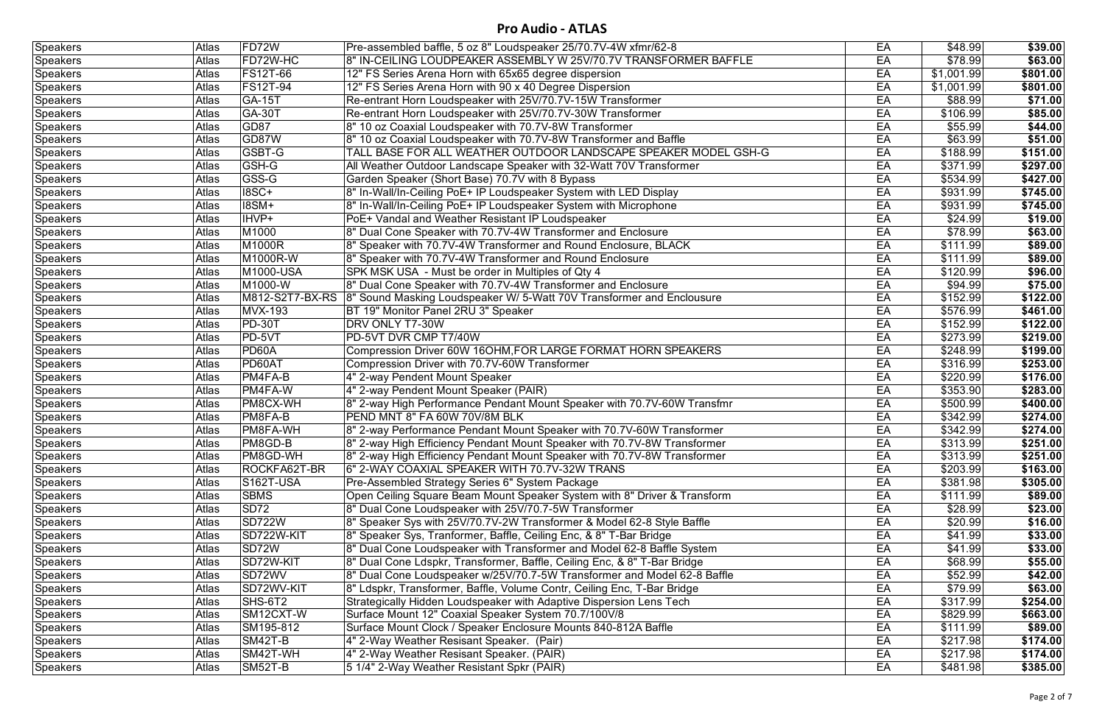| <b>Speakers</b> | Atlas        | FD72W           | Pre-assembled baffle, 5 oz 8" Loudspeaker 25/70.7V-4W xfmr/62-8          | EA | \$48.99              | \$39.00  |
|-----------------|--------------|-----------------|--------------------------------------------------------------------------|----|----------------------|----------|
| Speakers        | <b>Atlas</b> | FD72W-HC        | 8" IN-CEILING LOUDPEAKER ASSEMBLY W 25V/70.7V TRANSFORMER BAFFLE         | EA | \$78.99              | \$63.00  |
| <b>Speakers</b> | <b>Atlas</b> | <b>FS12T-66</b> | 12" FS Series Arena Horn with 65x65 degree dispersion                    | EA | \$1,001.99           | \$801.00 |
| Speakers        | <b>Atlas</b> | <b>FS12T-94</b> | 12" FS Series Arena Horn with 90 x 40 Degree Dispersion                  | EA | \$1,001.99           | \$801.00 |
| Speakers        | <b>Atlas</b> | GA-15T          | Re-entrant Horn Loudspeaker with 25V/70.7V-15W Transformer               | EA | \$88.99              | \$71.00  |
| <b>Speakers</b> | <b>Atlas</b> | <b>GA-30T</b>   | Re-entrant Horn Loudspeaker with 25V/70.7V-30W Transformer               | EA | \$106.99             | \$85.00  |
| Speakers        | <b>Atlas</b> | GD87            | 8" 10 oz Coaxial Loudspeaker with 70.7V-8W Transformer                   | EA | \$55.99              | \$44.00  |
| Speakers        | Atlas        | GD87W           | 8" 10 oz Coaxial Loudspeaker with 70.7V-8W Transformer and Baffle        | EA | \$63.99              | \$51.00  |
| Speakers        | Atlas        | <b>GSBT-G</b>   | TALL BASE FOR ALL WEATHER OUTDOOR LANDSCAPE SPEAKER MODEL GSH-G          | EA | $\overline{$}188.99$ | \$151.00 |
| <b>Speakers</b> | Atlas        | GSH-G           | All Weather Outdoor Landscape Speaker with 32-Watt 70V Transformer       | EA | \$371.99             | \$297.00 |
| Speakers        | Atlas        | GSS-G           | Garden Speaker (Short Base) 70.7V with 8 Bypass                          | EA | \$534.99             | \$427.00 |
| <b>Speakers</b> | Atlas        | <b>18SC+</b>    | 8" In-Wall/In-Ceiling PoE+ IP Loudspeaker System with LED Display        | EA | \$931.99             | \$745.00 |
| <b>Speakers</b> | Atlas        | <b>18SM+</b>    | 8" In-Wall/In-Ceiling PoE+ IP Loudspeaker System with Microphone         | EA | \$931.99             | \$745.00 |
| Speakers        | Atlas        | IHVP+           | PoE+ Vandal and Weather Resistant IP Loudspeaker                         | EA | \$24.99              | \$19.00  |
| <b>Speakers</b> | Atlas        | M1000           | 8" Dual Cone Speaker with 70.7V-4W Transformer and Enclosure             | EA | \$78.99              | \$63.00  |
| Speakers        | Atlas        | M1000R          | 8" Speaker with 70.7V-4W Transformer and Round Enclosure, BLACK          | EA | \$111.99             | \$89.00  |
| <b>Speakers</b> | Atlas        | M1000R-W        | 8" Speaker with 70.7V-4W Transformer and Round Enclosure                 | EA | \$111.99             | \$89.00  |
| Speakers        | Atlas        | M1000-USA       | SPK MSK USA - Must be order in Multiples of Qty 4                        | EA | \$120.99             | \$96.00  |
| Speakers        | Atlas        | M1000-W         | 8" Dual Cone Speaker with 70.7V-4W Transformer and Enclosure             | EA | \$94.99              | \$75.00  |
| Speakers        | Atlas        | M812-S2T7-BX-RS | 8" Sound Masking Loudspeaker W/ 5-Watt 70V Transformer and Enclousure    | EA | \$152.99             | \$122.00 |
| Speakers        | Atlas        | <b>MVX-193</b>  | BT 19" Monitor Panel 2RU 3" Speaker                                      | EA | \$576.99             | \$461.00 |
| <b>Speakers</b> | Atlas        | <b>PD-30T</b>   | DRV ONLY T7-30W                                                          | EA | \$152.99             | \$122.00 |
| Speakers        | Atlas        | PD-5VT          | PD-5VT DVR CMP T7/40W                                                    | EA | \$273.99             | \$219.00 |
| <b>Speakers</b> | Atlas        | PD60A           | Compression Driver 60W 16OHM, FOR LARGE FORMAT HORN SPEAKERS             | EA | \$248.99             | \$199.00 |
| Speakers        | <b>Atlas</b> | PD60AT          | Compression Driver with 70.7V-60W Transformer                            | EA | \$316.99             | \$253.00 |
| <b>Speakers</b> | Atlas        | PM4FA-B         | 4" 2-way Pendent Mount Speaker                                           | EA | \$220.99             | \$176.00 |
| Speakers        | <b>Atlas</b> | PM4FA-W         | 4" 2-way Pendent Mount Speaker (PAIR)                                    | EA | \$353.90             | \$283.00 |
| <b>Speakers</b> | <b>Atlas</b> | <b>PM8CX-WH</b> | 8" 2-way High Performance Pendant Mount Speaker with 70.7V-60W Transfmr  | EA | \$500.99             | \$400.00 |
| <b>Speakers</b> | <b>Atlas</b> | PM8FA-B         | PEND MNT 8" FA 60W 70V/8M BLK                                            | EA | \$342.99             | \$274.00 |
| <b>Speakers</b> | <b>Atlas</b> | <b>PM8FA-WH</b> | 8" 2-way Performance Pendant Mount Speaker with 70.7V-60W Transformer    | EA | \$342.99             | \$274.00 |
| <b>Speakers</b> | Atlas        | PM8GD-B         | 8" 2-way High Efficiency Pendant Mount Speaker with 70.7V-8W Transformer | EA | \$313.99             | \$251.00 |
| Speakers        | <b>Atlas</b> | <b>PM8GD-WH</b> | 8" 2-way High Efficiency Pendant Mount Speaker with 70.7V-8W Transformer | EA | \$313.99             | \$251.00 |
| <b>Speakers</b> | Atlas        | ROCKFA62T-BR    | 6" 2-WAY COAXIAL SPEAKER WITH 70.7V-32W TRANS                            | EA | \$203.99             | \$163.00 |
| Speakers        | <b>Atlas</b> | S162T-USA       | Pre-Assembled Strategy Series 6" System Package                          | EA | \$381.98             | \$305.00 |
| Speakers        | <b>Atlas</b> | <b>SBMS</b>     | Open Ceiling Square Beam Mount Speaker System with 8" Driver & Transform | EA | \$111.99             | \$89.00  |
| Speakers        | <b>Atlas</b> | <b>SD72</b>     | 8" Dual Cone Loudspeaker with 25V/70.7-5W Transformer                    | EA | \$28.99              | \$23.00  |
| Speakers        | <b>Atlas</b> | <b>SD722W</b>   | 8" Speaker Sys with 25V/70.7V-2W Transformer & Model 62-8 Style Baffle   | EA | \$20.99              | \$16.00  |
| <b>Speakers</b> | Atlas        | SD722W-KIT      | 8" Speaker Sys, Tranformer, Baffle, Ceiling Enc, & 8" T-Bar Bridge       | EA | \$41.99              | \$33.00  |
| Speakers        | <b>Atlas</b> | SD72W           | 8" Dual Cone Loudspeaker with Transformer and Model 62-8 Baffle System   | EA | \$41.99              | \$33.00  |
| Speakers        | <b>Atlas</b> | SD72W-KIT       | 8" Dual Cone Ldspkr, Transformer, Baffle, Ceiling Enc, & 8" T-Bar Bridge | EA | \$68.99              | \$55.00  |
| Speakers        | <b>Atlas</b> | SD72WV          | 8" Dual Cone Loudspeaker w/25V/70.7-5W Transformer and Model 62-8 Baffle | EA | \$52.99              | \$42.00  |
| <b>Speakers</b> | Atlas        | SD72WV-KIT      | 8" Ldspkr, Transformer, Baffle, Volume Contr, Ceiling Enc, T-Bar Bridge  | EA | \$79.99              | \$63.00  |
| Speakers        | <b>Atlas</b> | SHS-6T2         | Strategically Hidden Loudspeaker with Adaptive Dispersion Lens Tech      | EA | \$317.99             | \$254.00 |
| Speakers        | <b>Atlas</b> | SM12CXT-W       | Surface Mount 12" Coaxial Speaker System 70.7/100V/8                     | EA | \$829.99             | \$663.00 |
| Speakers        | Atlas        | SM195-812       | Surface Mount Clock / Speaker Enclosure Mounts 840-812A Baffle           | EA | \$111.99             | \$89.00  |
| Speakers        | <b>Atlas</b> | SM42T-B         | 4" 2-Way Weather Resisant Speaker. (Pair)                                | EA | \$217.98             | \$174.00 |
| <b>Speakers</b> | Atlas        | SM42T-WH        | 4" 2-Way Weather Resisant Speaker. (PAIR)                                | EA | \$217.98             | \$174.00 |
| Speakers        | Atlas        | SM52T-B         | 5 1/4" 2-Way Weather Resistant Spkr (PAIR)                               | EA | \$481.98             | \$385.00 |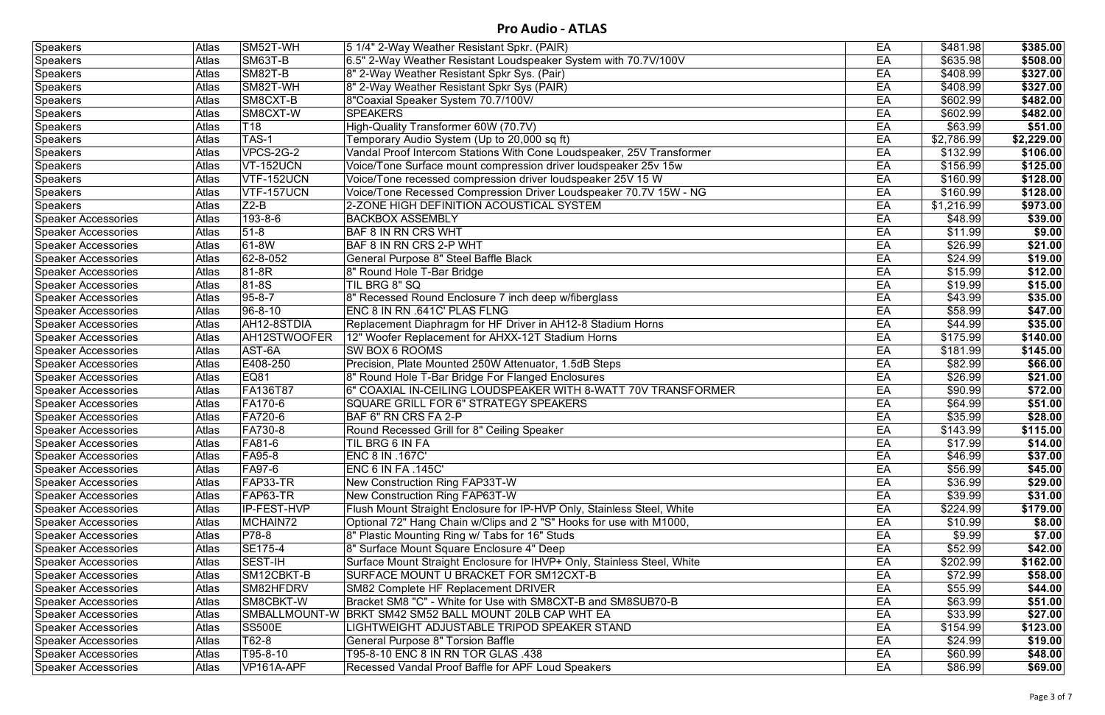| <b>Speakers</b>            | Atlas        | SM52T-WH           | 5 1/4" 2-Way Weather Resistant Spkr. (PAIR)                             | EA | \$481.98   | \$385.00   |
|----------------------------|--------------|--------------------|-------------------------------------------------------------------------|----|------------|------------|
| <b>Speakers</b>            | Atlas        | SM63T-B            | 6.5" 2-Way Weather Resistant Loudspeaker System with 70.7V/100V         | EA | \$635.98   | \$508.00   |
| Speakers                   | Atlas        | <b>SM82T-B</b>     | 8" 2-Way Weather Resistant Spkr Sys. (Pair)                             | EA | \$408.99   | \$327.00   |
| Speakers                   | Atlas        | SM82T-WH           | 8" 2-Way Weather Resistant Spkr Sys (PAIR)                              | EA | \$408.99   | \$327.00   |
| Speakers                   | Atlas        | SM8CXT-B           | 8"Coaxial Speaker System 70.7/100V/                                     | EA | \$602.99   | \$482.00   |
| <b>Speakers</b>            | Atlas        | SM8CXT-W           | <b>SPEAKERS</b>                                                         | EA | \$602.99   | \$482.00   |
| <b>Speakers</b>            | <b>Atlas</b> | T <sub>18</sub>    | High-Quality Transformer 60W (70.7V)                                    | EA | \$63.99    | \$51.00    |
| Speakers                   | Atlas        | TAS-1              | Temporary Audio System (Up to 20,000 sq ft)                             | EA | \$2,786.99 | \$2,229.00 |
| Speakers                   | Atlas        | VPCS-2G-2          | Vandal Proof Intercom Stations With Cone Loudspeaker, 25V Transformer   | EA | \$132.99   | \$106.00   |
| Speakers                   | Atlas        | <b>VT-152UCN</b>   | Voice/Tone Surface mount compression driver loudspeaker 25v 15w         | EA | \$156.99   | \$125.00   |
| <b>Speakers</b>            | Atlas        | <b>VTF-152UCN</b>  | Voice/Tone recessed compression driver loudspeaker 25V 15 W             | EA | \$160.99   | \$128.00   |
| Speakers                   | Atlas        | VTF-157UCN         | Voice/Tone Recessed Compression Driver Loudspeaker 70.7V 15W - NG       | EA | \$160.99   | \$128.00   |
| <b>Speakers</b>            | Atlas        | $Z2-B$             | 2-ZONE HIGH DEFINITION ACOUSTICAL SYSTEM                                | EA | \$1,216.99 | \$973.00   |
| <b>Speaker Accessories</b> | <b>Atlas</b> | 193-8-6            | <b>BACKBOX ASSEMBLY</b>                                                 | EA | \$48.99    | \$39.00    |
| Speaker Accessories        | Atlas        | $51-8$             | <b>BAF 8 IN RN CRS WHT</b>                                              | EA | \$11.99    | \$9.00     |
| <b>Speaker Accessories</b> | Atlas        | 61-8W              | BAF 8 IN RN CRS 2-P WHT                                                 | EA | \$26.99    | \$21.00    |
| <b>Speaker Accessories</b> | Atlas        | 62-8-052           | General Purpose 8" Steel Baffle Black                                   | EA | \$24.99    | \$19.00    |
| <b>Speaker Accessories</b> | <b>Atlas</b> | $ 81-8R$           | 8" Round Hole T-Bar Bridge                                              | EA | \$15.99    | \$12.00    |
| <b>Speaker Accessories</b> | Atlas        | 81-8S              | TIL BRG 8" SQ                                                           | EA | \$19.99    | \$15.00    |
| <b>Speaker Accessories</b> | Atlas        | $95 - 8 - 7$       | 8" Recessed Round Enclosure 7 inch deep w/fiberglass                    | EA | \$43.99    | \$35.00    |
| <b>Speaker Accessories</b> | Atlas        | $96 - 8 - 10$      | ENC 8 IN RN .641C' PLAS FLNG                                            | EA | \$58.99    | \$47.00    |
| <b>Speaker Accessories</b> | Atlas        | AH12-8STDIA        | Replacement Diaphragm for HF Driver in AH12-8 Stadium Horns             | EA | \$44.99    | \$35.00    |
| <b>Speaker Accessories</b> | Atlas        | AH12STWOOFER       | 12" Woofer Replacement for AHXX-12T Stadium Horns                       | EA | \$175.99   | \$140.00   |
| <b>Speaker Accessories</b> | Atlas        | AST-6A             | <b>SW BOX 6 ROOMS</b>                                                   | EA | \$181.99   | \$145.00   |
| <b>Speaker Accessories</b> | Atlas        | E408-250           | Precision, Plate Mounted 250W Attenuator, 1.5dB Steps                   | EA | \$82.99    | \$66.00    |
| <b>Speaker Accessories</b> | Atlas        | EQ81               | 8" Round Hole T-Bar Bridge For Flanged Enclosures                       | EA | \$26.99    | \$21.00    |
| <b>Speaker Accessories</b> | Atlas        | <b>FA136T87</b>    | 6" COAXIAL IN-CEILING LOUDSPEAKER WITH 8-WATT 70V TRANSFORMER           | EA | \$90.99    | \$72.00    |
| <b>Speaker Accessories</b> | Atlas        | <b>FA170-6</b>     | SQUARE GRILL FOR 6" STRATEGY SPEAKERS                                   | EA | \$64.99    | \$51.00    |
| <b>Speaker Accessories</b> | Atlas        | <b>FA720-6</b>     | BAF 6" RN CRS FA 2-P                                                    | EA | \$35.99    | \$28.00    |
| <b>Speaker Accessories</b> | Atlas        | <b>FA730-8</b>     | Round Recessed Grill for 8" Ceiling Speaker                             | EA | \$143.99   | \$115.00   |
| Speaker Accessories        | Atlas        | <b>FA81-6</b>      | TIL BRG 6 IN FA                                                         | EA | \$17.99    | \$14.00    |
| Speaker Accessories        | Atlas        | <b>FA95-8</b>      | ENC 8 IN .167C'                                                         | EA | \$46.99    | \$37.00    |
| Speaker Accessories        | Atlas        | <b>FA97-6</b>      | ENC 6 IN FA .145C'                                                      | EA | \$56.99    | \$45.00    |
| <b>Speaker Accessories</b> | Atlas        | FAP33-TR           | New Construction Ring FAP33T-W                                          | EA | \$36.99    | \$29.00    |
| <b>Speaker Accessories</b> | Atlas        | FAP63-TR           | <b>New Construction Ring FAP63T-W</b>                                   | EA | \$39.99    | \$31.00    |
| <b>Speaker Accessories</b> | Atlas        | <b>IP-FEST-HVP</b> | Flush Mount Straight Enclosure for IP-HVP Only, Stainless Steel, White  | EA | \$224.99   | \$179.00   |
| Speaker Accessories        | Atlas        | MCHAIN72           | Optional 72" Hang Chain w/Clips and 2 "S" Hooks for use with M1000,     | EA | \$10.99    | \$8.00     |
| <b>Speaker Accessories</b> | Atlas        | <b>P78-8</b>       | 8" Plastic Mounting Ring w/ Tabs for 16" Studs                          | EA | \$9.99     | \$7.00     |
| <b>Speaker Accessories</b> | Atlas        | <b>SE175-4</b>     | 8" Surface Mount Square Enclosure 4" Deep                               | EA | \$52.99    | \$42.00    |
| <b>Speaker Accessories</b> | Atlas        | <b>SEST-IH</b>     | Surface Mount Straight Enclosure for IHVP+ Only, Stainless Steel, White | EA | \$202.99   | \$162.00   |
| <b>Speaker Accessories</b> | Atlas        | SM12CBKT-B         | SURFACE MOUNT U BRACKET FOR SM12CXT-B                                   | EA | \$72.99    | \$58.00    |
| <b>Speaker Accessories</b> | Atlas        | SM82HFDRV          | <b>SM82 Complete HF Replacement DRIVER</b>                              | EA | \$55.99    | \$44.00    |
| <b>Speaker Accessories</b> | Atlas        | SM8CBKT-W          | Bracket SM8 "C" - White for Use with SM8CXT-B and SM8SUB70-B            | EA | \$63.99    | \$51.00    |
| Speaker Accessories        | Atlas        | SMBALLMOUNT-W      | BRKT SM42 SM52 BALL MOUNT 20LB CAP WHT EA                               | EA | \$33.99    | \$27.00    |
| <b>Speaker Accessories</b> | Atlas        | <b>SS500E</b>      | LIGHTWEIGHT ADJUSTABLE TRIPOD SPEAKER STAND                             | EA | \$154.99   | \$123.00   |
| <b>Speaker Accessories</b> | Atlas        | T62-8              | <b>General Purpose 8" Torsion Baffle</b>                                | EA | \$24.99    | \$19.00    |
| <b>Speaker Accessories</b> | Atlas        | T95-8-10           | T95-8-10 ENC 8 IN RN TOR GLAS .438                                      | EA | \$60.99    | \$48.00    |
| Speaker Accessories        | Atlas        | VP161A-APF         | Recessed Vandal Proof Baffle for APF Loud Speakers                      | EA | \$86.99    | \$69.00    |
|                            |              |                    |                                                                         |    |            |            |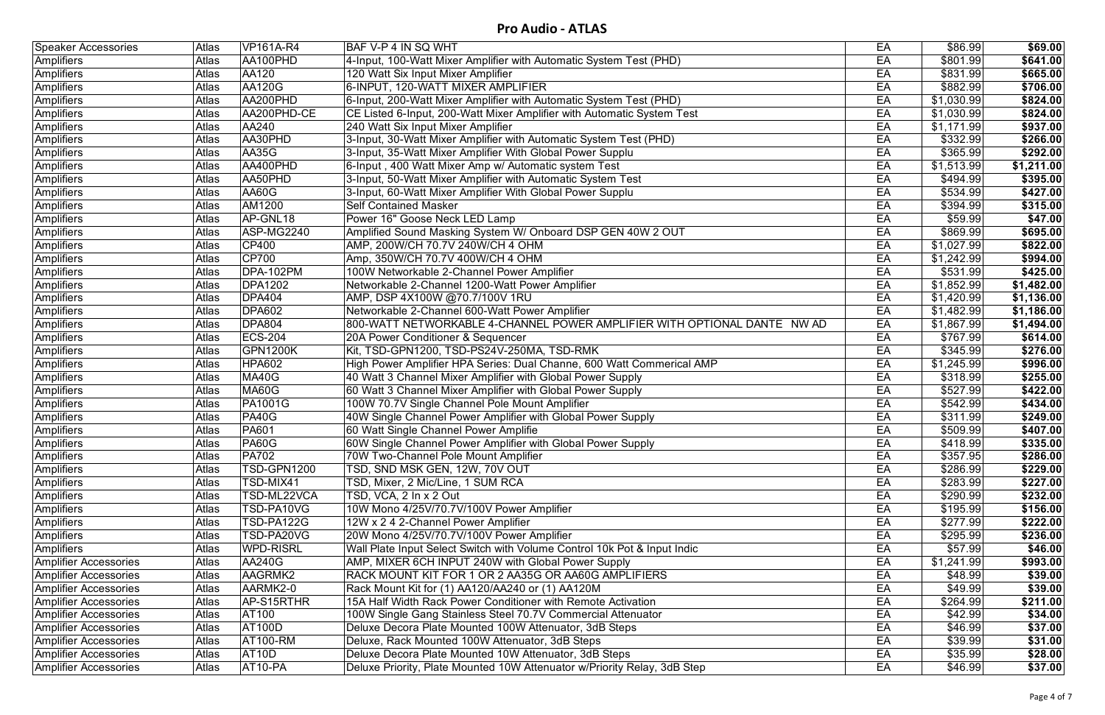| <b>Speaker Accessories</b>   | Atlas        | <b>VP161A-R4</b>   | BAF V-P 4 IN SQ WHT                                                      | EA | \$86.99    | \$69.00    |
|------------------------------|--------------|--------------------|--------------------------------------------------------------------------|----|------------|------------|
| <b>Amplifiers</b>            | <b>Atlas</b> | AA100PHD           | 4-Input, 100-Watt Mixer Amplifier with Automatic System Test (PHD)       | EA | \$801.99   | \$641.00   |
| <b>Amplifiers</b>            | Atlas        | <b>AA120</b>       | 120 Watt Six Input Mixer Amplifier                                       | EA | \$831.99   | \$665.00   |
| <b>Amplifiers</b>            | <b>Atlas</b> | <b>AA120G</b>      | 6-INPUT, 120-WATT MIXER AMPLIFIER                                        | EA | \$882.99   | \$706.00   |
| Amplifiers                   | Atlas        | AA200PHD           | 6-Input, 200-Watt Mixer Amplifier with Automatic System Test (PHD)       | EA | \$1,030.99 | \$824.00   |
| Amplifiers                   | <b>Atlas</b> | AA200PHD-CE        | CE Listed 6-Input, 200-Watt Mixer Amplifier with Automatic System Test   | EA | \$1,030.99 | \$824.00   |
| Amplifiers                   | Atlas        | AA240              | 240 Watt Six Input Mixer Amplifier                                       | EA | \$1,171.99 | \$937.00   |
| Amplifiers                   | <b>Atlas</b> | AA30PHD            | 3-Input, 30-Watt Mixer Amplifier with Automatic System Test (PHD)        | EA | \$332.99   | \$266.00   |
| <b>Amplifiers</b>            | Atlas        | <b>AA35G</b>       | 3-Input, 35-Watt Mixer Amplifier With Global Power Supplu                | EA | \$365.99   | \$292.00   |
| Amplifiers                   | Atlas        | AA400PHD           | 6-Input, 400 Watt Mixer Amp w/ Automatic system Test                     | EA | \$1,513.99 | \$1,211.00 |
| <b>Amplifiers</b>            | Atlas        | AA50PHD            | 3-Input, 50-Watt Mixer Amplifier with Automatic System Test              | EA | \$494.99   | \$395.00   |
| Amplifiers                   | Atlas        | AA60G              | 3-Input, 60-Watt Mixer Amplifier With Global Power Supplu                | EA | \$534.99   | \$427.00   |
| Amplifiers                   | Atlas        | AM1200             | <b>Self Contained Masker</b>                                             | EA | \$394.99   | \$315.00   |
| Amplifiers                   | Atlas        | AP-GNL18           | Power 16" Goose Neck LED Lamp                                            | EA | \$59.99    | \$47.00    |
| Amplifiers                   | Atlas        | ASP-MG2240         | Amplified Sound Masking System W/ Onboard DSP GEN 40W 2 OUT              | EA | \$869.99   | \$695.00   |
| <b>Amplifiers</b>            | <b>Atlas</b> | <b>CP400</b>       | AMP, 200W/CH 70.7V 240W/CH 4 OHM                                         | EA | \$1,027.99 | \$822.00   |
| Amplifiers                   | Atlas        | <b>CP700</b>       | Amp, 350W/CH 70.7V 400W/CH 4 OHM                                         | EA | \$1,242.99 | \$994.00   |
| <b>Amplifiers</b>            | Atlas        | <b>DPA-102PM</b>   | 100W Networkable 2-Channel Power Amplifier                               | EA | \$531.99   | \$425.00   |
| Amplifiers                   | Atlas        | <b>DPA1202</b>     | Networkable 2-Channel 1200-Watt Power Amplifier                          | EA | \$1,852.99 | \$1,482.00 |
| Amplifiers                   | Atlas        | <b>DPA404</b>      | AMP, DSP 4X100W @70.7/100V 1RU                                           | EA | \$1,420.99 | \$1,136.00 |
| <b>Amplifiers</b>            | Atlas        | <b>DPA602</b>      | Networkable 2-Channel 600-Watt Power Amplifier                           | EA | \$1,482.99 | \$1,186.00 |
| Amplifiers                   | <b>Atlas</b> | <b>DPA804</b>      | 800-WATT NETWORKABLE 4-CHANNEL POWER AMPLIFIER WITH OPTIONAL DANTE NW AD | EA | \$1,867.99 | \$1,494.00 |
| Amplifiers                   | Atlas        | <b>ECS-204</b>     | 20A Power Conditioner & Sequencer                                        | EA | \$767.99   | \$614.00   |
| <b>Amplifiers</b>            | Atlas        | GPN1200K           | Kit, TSD-GPN1200, TSD-PS24V-250MA, TSD-RMK                               | EA | \$345.99   | \$276.00   |
| <b>Amplifiers</b>            | Atlas        | <b>HPA602</b>      | High Power Amplifier HPA Series: Dual Channe, 600 Watt Commerical AMP    | EA | \$1,245.99 | \$996.00   |
| Amplifiers                   | Atlas        | MA40G              | 40 Watt 3 Channel Mixer Amplifier with Global Power Supply               | EA | \$318.99   | \$255.00   |
| Amplifiers                   | Atlas        | MA60G              | 60 Watt 3 Channel Mixer Amplifier with Global Power Supply               | EA | \$527.99   | \$422.00   |
| Amplifiers                   | Atlas        | <b>PA1001G</b>     | 100W 70.7V Single Channel Pole Mount Amplifier                           | EA | \$542.99   | \$434.00   |
| Amplifiers                   | Atlas        | PA40G              | 40W Single Channel Power Amplifier with Global Power Supply              | EA | \$311.99   | \$249.00   |
| Amplifiers                   | Atlas        | <b>PA601</b>       | 60 Watt Single Channel Power Amplifie                                    | EA | \$509.99   | \$407.00   |
| Amplifiers                   | Atlas        | <b>PA60G</b>       | 60W Single Channel Power Amplifier with Global Power Supply              | EA | \$418.99   | \$335.00   |
| Amplifiers                   | <b>Atlas</b> | $\overline{PA702}$ | 70W Two-Channel Pole Mount Amplifier                                     | EA | \$357.95   | \$286.00   |
| Amplifiers                   | <b>Atlas</b> | TSD-GPN1200        | TSD, SND MSK GEN, 12W, 70V OUT                                           | EA | \$286.99   | \$229.00   |
| <b>Amplifiers</b>            | <b>Atlas</b> | TSD-MIX41          | TSD, Mixer, 2 Mic/Line, 1 SUM RCA                                        | EA | \$283.99   | \$227.00   |
| Amplifiers                   | <b>Atlas</b> | TSD-ML22VCA        | TSD, VCA, 2 In x 2 Out                                                   | EA | \$290.99   | \$232.00   |
| Amplifiers                   | <b>Atlas</b> | <b>TSD-PA10VG</b>  | 10W Mono 4/25V/70.7V/100V Power Amplifier                                | EA | \$195.99   | \$156.00   |
| <b>Amplifiers</b>            | <b>Atlas</b> | TSD-PA122G         | 12W x 2 4 2-Channel Power Amplifier                                      | EA | \$277.99   | \$222.00   |
| Amplifiers                   | <b>Atlas</b> | TSD-PA20VG         | 20W Mono 4/25V/70.7V/100V Power Amplifier                                | EA | \$295.99   | \$236.00   |
| Amplifiers                   | <b>Atlas</b> | <b>WPD-RISRL</b>   | Wall Plate Input Select Switch with Volume Control 10k Pot & Input Indic | EA | \$57.99    | \$46.00    |
| <b>Amplifier Accessories</b> | <b>Atlas</b> | <b>AA240G</b>      | AMP, MIXER 6CH INPUT 240W with Global Power Supply                       | EA | \$1,241.99 | \$993.00   |
| Amplifier Accessories        | <b>Atlas</b> | AAGRMK2            | RACK MOUNT KIT FOR 1 OR 2 AA35G OR AA60G AMPLIFIERS                      | EA | \$48.99    | \$39.00    |
| <b>Amplifier Accessories</b> | Atlas        | AARMK2-0           | Rack Mount Kit for (1) AA120/AA240 or (1) AA120M                         | EA | \$49.99    | \$39.00    |
| <b>Amplifier Accessories</b> | Atlas        | AP-S15RTHR         | 15A Half Width Rack Power Conditioner with Remote Activation             | EA | \$264.99   | \$211.00   |
| <b>Amplifier Accessories</b> | Atlas        | <b>AT100</b>       | 100W Single Gang Stainless Steel 70.7V Commercial Attenuator             | EA | \$42.99    | \$34.00    |
| <b>Amplifier Accessories</b> | <b>Atlas</b> | <b>AT100D</b>      | Deluxe Decora Plate Mounted 100W Attenuator, 3dB Steps                   | EA | \$46.99    | \$37.00    |
| <b>Amplifier Accessories</b> | <b>Atlas</b> | <b>AT100-RM</b>    | Deluxe, Rack Mounted 100W Attenuator, 3dB Steps                          | EA | \$39.99    | \$31.00    |
| <b>Amplifier Accessories</b> | <b>Atlas</b> | AT <sub>10</sub> D | Deluxe Decora Plate Mounted 10W Attenuator, 3dB Steps                    | EA | \$35.99    | \$28.00    |
| <b>Amplifier Accessories</b> | Atlas        | AT10-PA            | Deluxe Priority, Plate Mounted 10W Attenuator w/Priority Relay, 3dB Step | EA | \$46.99    | \$37.00    |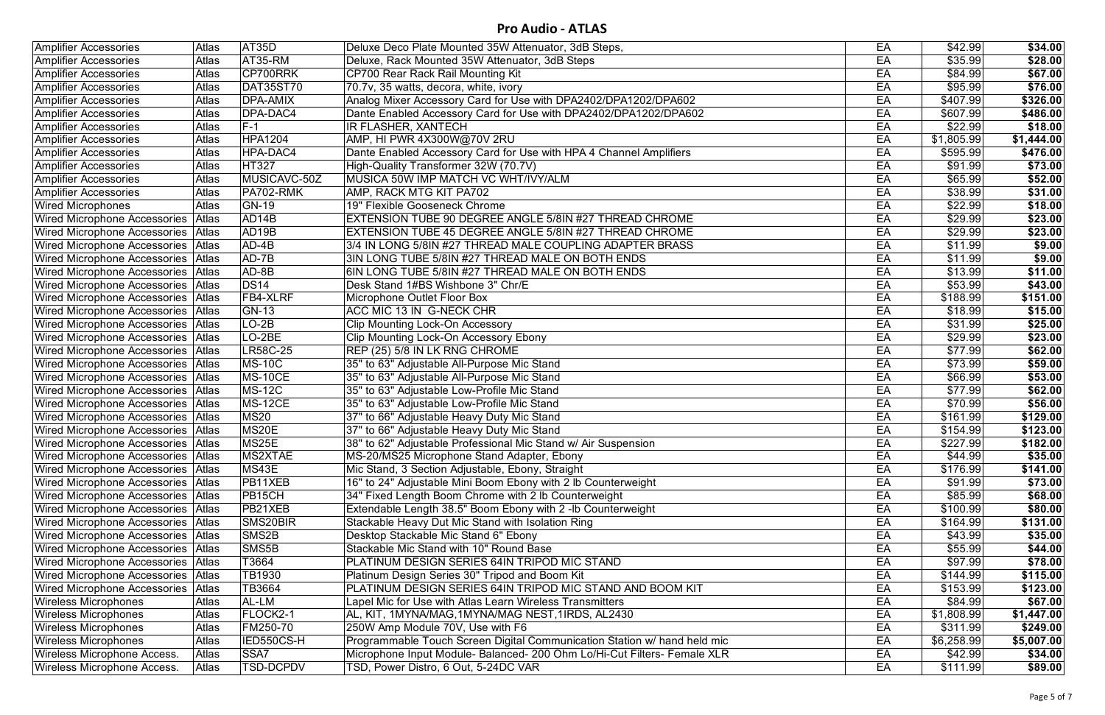| <b>Amplifier Accessories</b>              | <b>Atlas</b> | AT35D               | Deluxe Deco Plate Mounted 35W Attenuator, 3dB Steps,                     | EA | \$42.99    | \$34.00    |
|-------------------------------------------|--------------|---------------------|--------------------------------------------------------------------------|----|------------|------------|
| <b>Amplifier Accessories</b>              | Atlas        | AT35-RM             | Deluxe, Rack Mounted 35W Attenuator, 3dB Steps                           | EA | \$35.99    | \$28.00    |
| <b>Amplifier Accessories</b>              | <b>Atlas</b> | CP700RRK            | CP700 Rear Rack Rail Mounting Kit                                        | EA | \$84.99    | \$67.00    |
| <b>Amplifier Accessories</b>              | Atlas        | <b>DAT35ST70</b>    | 70.7v, 35 watts, decora, white, ivory                                    | EA | \$95.99    | \$76.00    |
| <b>Amplifier Accessories</b>              | Atlas        | <b>DPA-AMIX</b>     | Analog Mixer Accessory Card for Use with DPA2402/DPA1202/DPA602          | EA | \$407.99   | \$326.00   |
| <b>Amplifier Accessories</b>              | Atlas        | DPA-DAC4            | Dante Enabled Accessory Card for Use with DPA2402/DPA1202/DPA602         | EA | \$607.99]  | \$486.00   |
| <b>Amplifier Accessories</b>              | Atlas        | $F-1$               | IR FLASHER, XANTECH                                                      | EA | \$22.99    | \$18.00    |
| <b>Amplifier Accessories</b>              | <b>Atlas</b> | <b>HPA1204</b>      | AMP, HI PWR 4X300W@70V 2RU                                               | EA | \$1,805.99 | \$1,444.00 |
| <b>Amplifier Accessories</b>              | <b>Atlas</b> | <b>HPA-DAC4</b>     | Dante Enabled Accessory Card for Use with HPA 4 Channel Amplifiers       | EA | \$595.99   | \$476.00   |
| <b>Amplifier Accessories</b>              | <b>Atlas</b> | <b>HT327</b>        | High-Quality Transformer 32W (70.7V)                                     | EA | \$91.99    | \$73.00    |
| <b>Amplifier Accessories</b>              | Atlas        | MUSICAVC-50Z        | MUSICA 50W IMP MATCH VC WHT/IVY/ALM                                      | EA | \$65.99    | \$52.00    |
| <b>Amplifier Accessories</b>              | Atlas        | PA702-RMK           | AMP, RACK MTG KIT PA702                                                  | EA | \$38.99    | \$31.00    |
| <b>Wired Microphones</b>                  | <b>Atlas</b> | <b>GN-19</b>        | 19" Flexible Gooseneck Chrome                                            | EA | \$22.99    | \$18.00    |
| Wired Microphone Accessories   Atlas      |              | AD <sub>14</sub> B  | EXTENSION TUBE 90 DEGREE ANGLE 5/8IN #27 THREAD CHROME                   | EA | \$29.99    | \$23.00    |
| Wired Microphone Accessories Atlas        |              | AD <sub>19</sub> B  | EXTENSION TUBE 45 DEGREE ANGLE 5/8IN #27 THREAD CHROME                   | EA | \$29.99    | \$23.00    |
| Wired Microphone Accessories   Atlas      |              | $AD-4B$             | 3/4 IN LONG 5/8IN #27 THREAD MALE COUPLING ADAPTER BRASS                 | EA | \$11.99    | \$9.00     |
| Wired Microphone Accessories Atlas        |              | AD-7B               | 3IN LONG TUBE 5/8IN #27 THREAD MALE ON BOTH ENDS                         | EA | \$11.99    | \$9.00     |
| Wired Microphone Accessories   Atlas      |              | AD-8B               | 6IN LONG TUBE 5/8IN #27 THREAD MALE ON BOTH ENDS                         | EA | \$13.99    | \$11.00    |
| <b>Wired Microphone Accessories Atlas</b> |              | <b>DS14</b>         | Desk Stand 1#BS Wishbone 3" Chr/E                                        | EA | \$53.99    | \$43.00    |
| Wired Microphone Accessories Atlas        |              | FB4-XLRF            | Microphone Outlet Floor Box                                              | EA | \$188.99   | \$151.00   |
| Wired Microphone Accessories   Atlas      |              | <b>GN-13</b>        | ACC MIC 13 IN G-NECK CHR                                                 | EA | \$18.99    | \$15.00    |
| Wired Microphone Accessories   Atlas      |              | $LO-2B$             | <b>Clip Mounting Lock-On Accessory</b>                                   | EA | \$31.99    | \$25.00    |
| Wired Microphone Accessories   Atlas      |              | LO-2BE              | Clip Mounting Lock-On Accessory Ebony                                    | EA | \$29.99    | \$23.00    |
| Wired Microphone Accessories Atlas        |              | <b>LR58C-25</b>     | REP (25) 5/8 IN LK RNG CHROME                                            | EA | \$77.99    | \$62.00    |
| Wired Microphone Accessories   Atlas      |              | <b>MS-10C</b>       | 35" to 63" Adjustable All-Purpose Mic Stand                              | EA | \$73.99    | \$59.00    |
| Wired Microphone Accessories   Atlas      |              | <b>MS-10CE</b>      | 35" to 63" Adjustable All-Purpose Mic Stand                              | EA | \$66.99    | \$53.00    |
| Wired Microphone Accessories Atlas        |              | <b>MS-12C</b>       | 35" to 63" Adjustable Low-Profile Mic Stand                              | EA | \$77.99    | \$62.00    |
| Wired Microphone Accessories Atlas        |              | <b>MS-12CE</b>      | 35" to 63" Adjustable Low-Profile Mic Stand                              | EA | \$70.99    | \$56.00    |
| Wired Microphone Accessories   Atlas      |              | <b>MS20</b>         | 37" to 66" Adjustable Heavy Duty Mic Stand                               | EA | \$161.99   | \$129.00   |
| Wired Microphone Accessories   Atlas      |              | MS20E               | 37" to 66" Adjustable Heavy Duty Mic Stand                               | EA | \$154.99   | \$123.00   |
| Wired Microphone Accessories Atlas        |              | MS25E               | 38" to 62" Adjustable Professional Mic Stand w/ Air Suspension           | EA | \$227.99   | \$182.00   |
| Wired Microphone Accessories   Atlas      |              | MS2XTAE             | MS-20/MS25 Microphone Stand Adapter, Ebony                               | EA | \$44.99    | \$35.00    |
| Wired Microphone Accessories Atlas        |              | MS43E               | Mic Stand, 3 Section Adjustable, Ebony, Straight                         | EA | \$176.99   | \$141.00   |
| Wired Microphone Accessories Atlas        |              | PB11XEB             | 16" to 24" Adjustable Mini Boom Ebony with 2 lb Counterweight            | EA | \$91.99    | \$73.00    |
| Wired Microphone Accessories Atlas        |              | PB <sub>15</sub> CH | 34" Fixed Length Boom Chrome with 2 lb Counterweight                     | EA | \$85.99    | \$68.00    |
| Wired Microphone Accessories Atlas        |              | PB21XEB             | Extendable Length 38.5" Boom Ebony with 2-Ib Counterweight               | EA | \$100.99   | \$80.00    |
| Wired Microphone Accessories Atlas        |              | SMS20BIR            | Stackable Heavy Dut Mic Stand with Isolation Ring                        | EA | \$164.99   | \$131.00   |
| Wired Microphone Accessories Atlas        |              | SMS2B               | Desktop Stackable Mic Stand 6" Ebony                                     | EA | \$43.99    | \$35.00    |
| Wired Microphone Accessories Atlas        |              | SMS5B               | Stackable Mic Stand with 10" Round Base                                  | EA | \$55.99    | \$44.00    |
| <b>Wired Microphone Accessories Atlas</b> |              | T3664               | PLATINUM DESIGN SERIES 64IN TRIPOD MIC STAND                             | EA | \$97.99    | \$78.00    |
| Wired Microphone Accessories Atlas        |              | TB1930              | Platinum Design Series 30" Tripod and Boom Kit                           | EA | \$144.99   | \$115.00   |
| Wired Microphone Accessories Atlas        |              | TB3664              | PLATINUM DESIGN SERIES 64IN TRIPOD MIC STAND AND BOOM KIT                | EA | \$153.99   | \$123.00   |
| <b>Wireless Microphones</b>               | Atlas        | AL-LM               | Lapel Mic for Use with Atlas Learn Wireless Transmitters                 | EA | \$84.99    | \$67.00    |
| <b>Wireless Microphones</b>               | <b>Atlas</b> | FLOCK2-1            | AL, KIT, 1MYNA/MAG, 1MYNA/MAG NEST, 1IRDS, AL2430                        | EA | \$1,808.99 | \$1,447.00 |
| <b>Wireless Microphones</b>               | Atlas        | FM250-70            | 250W Amp Module 70V, Use with F6                                         | EA | \$311.99   | \$249.00   |
| <b>Wireless Microphones</b>               | <b>Atlas</b> | IED550CS-H          | Programmable Touch Screen Digital Communication Station w/ hand held mic | EA | \$6,258.99 | \$5,007.00 |
| Wireless Microphone Access.               | Atlas        | SSA7                | Microphone Input Module- Balanced- 200 Ohm Lo/Hi-Cut Filters- Female XLR | EA | \$42.99    | \$34.00    |
| Wireless Microphone Access.               | Atlas        | <b>TSD-DCPDV</b>    | TSD, Power Distro, 6 Out, 5-24DC VAR                                     | EA | \$111.99   | \$89.00    |
|                                           |              |                     |                                                                          |    |            |            |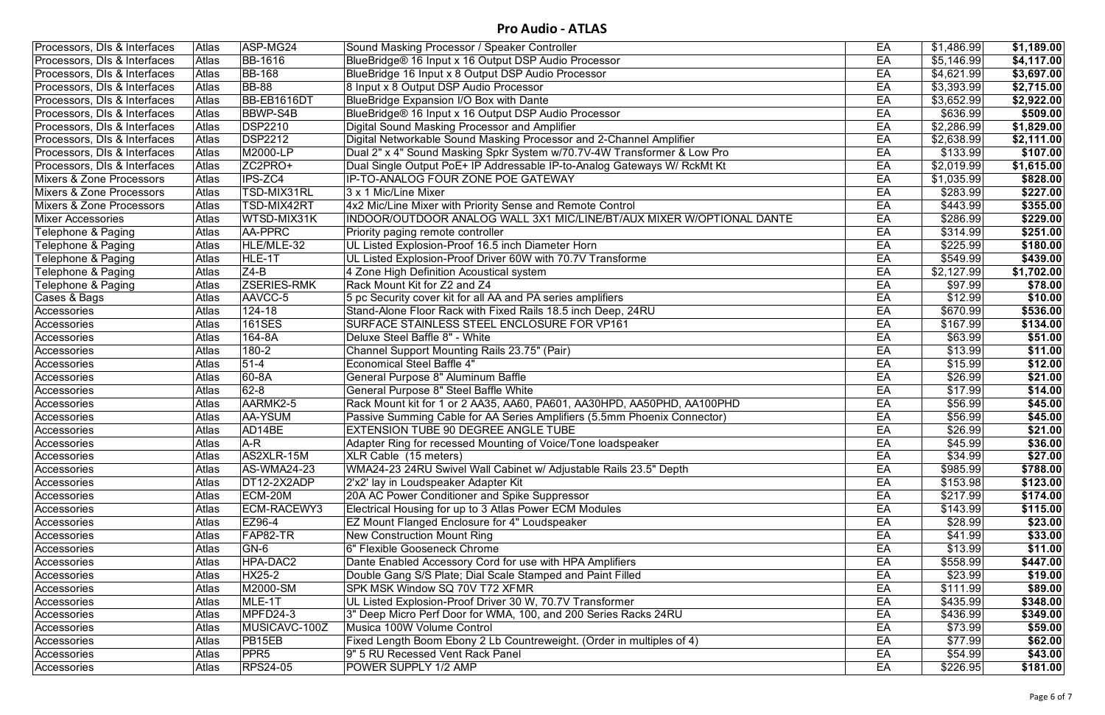| Processors, DIs & Interfaces | Atlas        | ASP-MG24           | Sound Masking Processor / Speaker Controller                             | EA | \$1,486.99 | \$1,189.00              |
|------------------------------|--------------|--------------------|--------------------------------------------------------------------------|----|------------|-------------------------|
| Processors, DIs & Interfaces | <b>Atlas</b> | <b>BB-1616</b>     | BlueBridge® 16 Input x 16 Output DSP Audio Processor                     | EA | \$5,146.99 | \$4,117.00              |
| Processors, DIs & Interfaces | <b>Atlas</b> | <b>BB-168</b>      | BlueBridge 16 Input x 8 Output DSP Audio Processor                       | EA | \$4,621.99 | \$3,697.00              |
| Processors, DIs & Interfaces | Atlas        | <b>BB-88</b>       | 8 Input x 8 Output DSP Audio Processor                                   | EA | \$3,393.99 | \$2,715.00              |
| Processors, DIs & Interfaces | Atlas        | BB-EB1616DT        | BlueBridge Expansion I/O Box with Dante                                  | EA | \$3,652.99 | \$2,922.00              |
| Processors, DIs & Interfaces | Atlas        | <b>BBWP-S4B</b>    | BlueBridge® 16 Input x 16 Output DSP Audio Processor                     | EA | \$636.99   | \$509.00                |
| Processors, DIs & Interfaces | Atlas        | <b>DSP2210</b>     | Digital Sound Masking Processor and Amplifier                            | EA | \$2,286.99 | $\overline{\$1,829.00}$ |
| Processors, DIs & Interfaces | Atlas        | <b>DSP2212</b>     | Digital Networkable Sound Masking Processor and 2-Channel Amplifier      | EA | \$2,638.99 | \$2,111.00              |
| Processors, DIs & Interfaces | Atlas        | M2000-LP           | Dual 2" x 4" Sound Masking Spkr System w/70.7V-4W Transformer & Low Pro  | EA | \$133.99   | \$107.00                |
| Processors, DIs & Interfaces | <b>Atlas</b> | ZC2PRO+            | Dual Single Output PoE+ IP Addressable IP-to-Analog Gateways W/ RckMt Kt | EA | \$2,019.99 | \$1,615.00              |
| Mixers & Zone Processors     | <b>Atlas</b> | <b>IPS-ZC4</b>     | IP-TO-ANALOG FOUR ZONE POE GATEWAY                                       | EA | \$1,035.99 | \$828.00                |
| Mixers & Zone Processors     | <b>Atlas</b> | TSD-MIX31RL        | 3 x 1 Mic/Line Mixer                                                     | EA | \$283.99   | \$227.00                |
| Mixers & Zone Processors     | Atlas        | TSD-MIX42RT        | 4x2 Mic/Line Mixer with Priority Sense and Remote Control                | EA | \$443.99   | \$355.00                |
| <b>Mixer Accessories</b>     | <b>Atlas</b> | WTSD-MIX31K        | INDOOR/OUTDOOR ANALOG WALL 3X1 MIC/LINE/BT/AUX MIXER W/OPTIONAL DANTE    | EA | \$286.99   | \$229.00                |
| Telephone & Paging           | <b>Atlas</b> | AA-PPRC            | Priority paging remote controller                                        | EA | \$314.99   | \$251.00                |
| Telephone & Paging           | Atlas        | HLE/MLE-32         | UL Listed Explosion-Proof 16.5 inch Diameter Horn                        | EA | \$225.99   | \$180.00                |
| Telephone & Paging           | Atlas        | HLE-1T             | UL Listed Explosion-Proof Driver 60W with 70.7V Transforme               | EA | \$549.99   | \$439.00                |
| Telephone & Paging           | Atlas        | $Z4-B$             | 4 Zone High Definition Acoustical system                                 | EA | \$2,127.99 | \$1,702.00              |
| Telephone & Paging           | Atlas        | <b>ZSERIES-RMK</b> | Rack Mount Kit for Z2 and Z4                                             | EA | \$97.99    | \$78.00                 |
| Cases & Bags                 | Atlas        | AAVCC-5            | 5 pc Security cover kit for all AA and PA series amplifiers              | EA | \$12.99    | \$10.00                 |
| Accessories                  | <b>Atlas</b> | 124-18             | Stand-Alone Floor Rack with Fixed Rails 18.5 inch Deep, 24RU             | EA | \$670.99   | \$536.00                |
| Accessories                  | Atlas        | <b>161SES</b>      | SURFACE STAINLESS STEEL ENCLOSURE FOR VP161                              | EA | \$167.99   | \$134.00                |
| Accessories                  | Atlas        | 164-8A             | Deluxe Steel Baffle 8" - White                                           | EA | \$63.99    | \$51.00                 |
| Accessories                  | Atlas        | 180-2              | Channel Support Mounting Rails 23.75" (Pair)                             | EA | \$13.99    | \$11.00                 |
| Accessories                  | <b>Atlas</b> | $51-4$             | <b>Economical Steel Baffle 4"</b>                                        | EA | \$15.99    | \$12.00                 |
| Accessories                  | Atlas        | 60-8A              | General Purpose 8" Aluminum Baffle                                       | EA | \$26.99    | \$21.00                 |
| Accessories                  | Atlas        | $62 - 8$           | General Purpose 8" Steel Baffle White                                    | EA | \$17.99    | \$14.00                 |
| Accessories                  | Atlas        | AARMK2-5           | Rack Mount kit for 1 or 2 AA35, AA60, PA601, AA30HPD, AA50PHD, AA100PHD  | EA | \$56.99    | \$45.00                 |
| Accessories                  | Atlas        | AA-YSUM            | Passive Summing Cable for AA Series Amplifiers (5.5mm Phoenix Connector) | EA | \$56.99    | \$45.00                 |
| Accessories                  | Atlas        | AD14BE             | <b>EXTENSION TUBE 90 DEGREE ANGLE TUBE</b>                               | EA | \$26.99    | \$21.00                 |
| Accessories                  | Atlas        | $A-R$              | Adapter Ring for recessed Mounting of Voice/Tone loadspeaker             | EA | \$45.99    | \$36.00                 |
| Accessories                  | <b>Atlas</b> | AS2XLR-15M         | XLR Cable (15 meters)                                                    | EA | \$34.99    | \$27.00                 |
| Accessories                  | <b>Atlas</b> | AS-WMA24-23        | WMA24-23 24RU Swivel Wall Cabinet w/ Adjustable Rails 23.5" Depth        | EA | \$985.99   | \$788.00                |
| Accessories                  | <b>Atlas</b> | DT12-2X2ADP        | 2'x2' lay in Loudspeaker Adapter Kit                                     | EA | \$153.98   | \$123.00                |
| Accessories                  | <b>Atlas</b> | ECM-20M            | 20A AC Power Conditioner and Spike Suppressor                            | EA | \$217.99   | \$174.00                |
| Accessories                  | Atlas        | ECM-RACEWY3        | Electrical Housing for up to 3 Atlas Power ECM Modules                   | EA | \$143.99   | \$115.00                |
| Accessories                  | Atlas        | EZ96-4             | EZ Mount Flanged Enclosure for 4" Loudspeaker                            | EA | \$28.99    | \$23.00                 |
| Accessories                  | Atlas        | FAP82-TR           | <b>New Construction Mount Ring</b>                                       | EA | \$41.99    | \$33.00                 |
| Accessories                  | <b>Atlas</b> | GN-6               | 6" Flexible Gooseneck Chrome                                             | EA | \$13.99    | \$11.00                 |
| Accessories                  | Atlas        | HPA-DAC2           | Dante Enabled Accessory Cord for use with HPA Amplifiers                 | EA | \$558.99   | \$447.00                |
| Accessories                  | <b>Atlas</b> | <b>HX25-2</b>      | Double Gang S/S Plate; Dial Scale Stamped and Paint Filled               | EA | \$23.99    | \$19.00                 |
| Accessories                  | Atlas        | M2000-SM           | SPK MSK Window SQ 70V T72 XFMR                                           | EA | \$111.99   | \$89.00                 |
| Accessories                  | <b>Atlas</b> | MLE-1T             | UL Listed Explosion-Proof Driver 30 W, 70.7V Transformer                 | EA | \$435.99   | \$348.00                |
| Accessories                  | <b>Atlas</b> | MPFD24-3           | 3" Deep Micro Perf Door for WMA, 100, and 200 Series Racks 24RU          | EA | \$436.99   | \$349.00                |
| Accessories                  | Atlas        | MUSICAVC-100Z      | Musica 100W Volume Control                                               | EA | \$73.99    | \$59.00                 |
| Accessories                  | Atlas        | PB15EB             | Fixed Length Boom Ebony 2 Lb Countreweight. (Order in multiples of 4)    | EA | \$77.99    | \$62.00                 |
| Accessories                  | Atlas        | <b>PPR5</b>        | 9" 5 RU Recessed Vent Rack Panel                                         | EA | \$54.99    | \$43.00                 |
| Accessories                  | Atlas        | <b>RPS24-05</b>    | POWER SUPPLY 1/2 AMP                                                     | EA | \$226.95   | \$181.00                |
|                              |              |                    |                                                                          |    |            |                         |